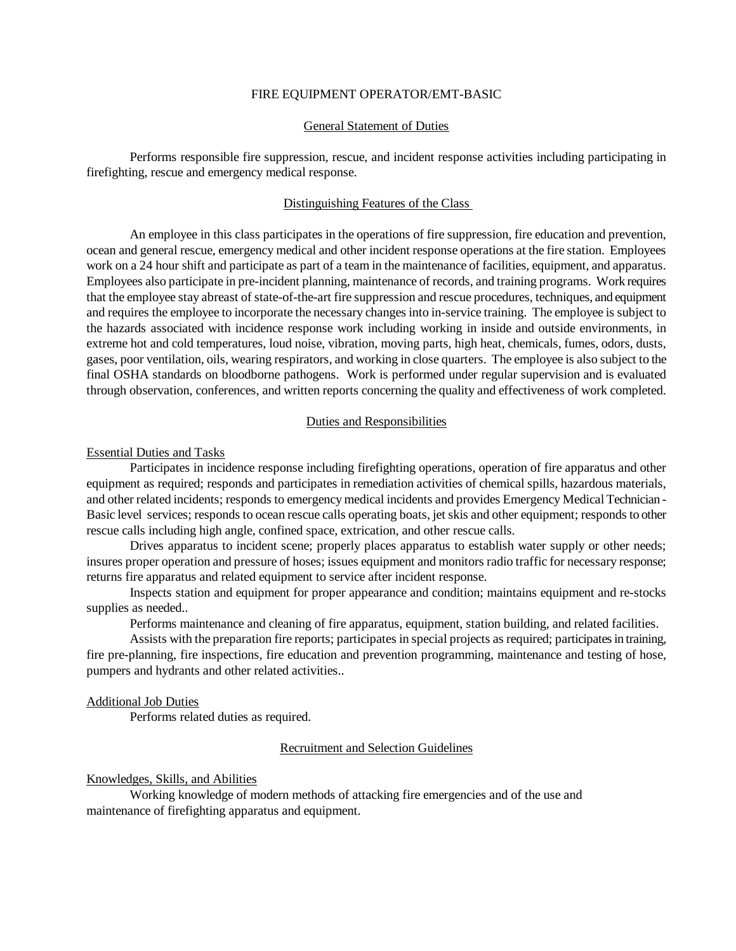### FIRE EQUIPMENT OPERATOR/EMT-BASIC

# General Statement of Duties

Performs responsible fire suppression, rescue, and incident response activities including participating in firefighting, rescue and emergency medical response.

# Distinguishing Features of the Class

An employee in this class participates in the operations of fire suppression, fire education and prevention, ocean and general rescue, emergency medical and other incident response operations at the fire station. Employees work on a 24 hour shift and participate as part of a team in the maintenance of facilities, equipment, and apparatus. Employees also participate in pre-incident planning, maintenance of records, and training programs. Work requires that the employee stay abreast of state-of-the-art fire suppression and rescue procedures, techniques, and equipment and requires the employee to incorporate the necessary changes into in-service training. The employee is subject to the hazards associated with incidence response work including working in inside and outside environments, in extreme hot and cold temperatures, loud noise, vibration, moving parts, high heat, chemicals, fumes, odors, dusts, gases, poor ventilation, oils, wearing respirators, and working in close quarters. The employee is also subject to the final OSHA standards on bloodborne pathogens. Work is performed under regular supervision and is evaluated through observation, conferences, and written reports concerning the quality and effectiveness of work completed.

### Duties and Responsibilities

#### Essential Duties and Tasks

Participates in incidence response including firefighting operations, operation of fire apparatus and other equipment as required; responds and participates in remediation activities of chemical spills, hazardous materials, and other related incidents; responds to emergency medical incidents and provides Emergency Medical Technician - Basic level services; responds to ocean rescue calls operating boats, jet skis and other equipment; responds to other rescue calls including high angle, confined space, extrication, and other rescue calls.

Drives apparatus to incident scene; properly places apparatus to establish water supply or other needs; insures proper operation and pressure of hoses; issues equipment and monitors radio traffic for necessary response; returns fire apparatus and related equipment to service after incident response.

Inspects station and equipment for proper appearance and condition; maintains equipment and re-stocks supplies as needed..

Performs maintenance and cleaning of fire apparatus, equipment, station building, and related facilities.

Assists with the preparation fire reports; participates in special projects as required; participates in training, fire pre-planning, fire inspections, fire education and prevention programming, maintenance and testing of hose, pumpers and hydrants and other related activities..

#### Additional Job Duties

Performs related duties as required.

### Recruitment and Selection Guidelines

# Knowledges, Skills, and Abilities

Working knowledge of modern methods of attacking fire emergencies and of the use and maintenance of firefighting apparatus and equipment.